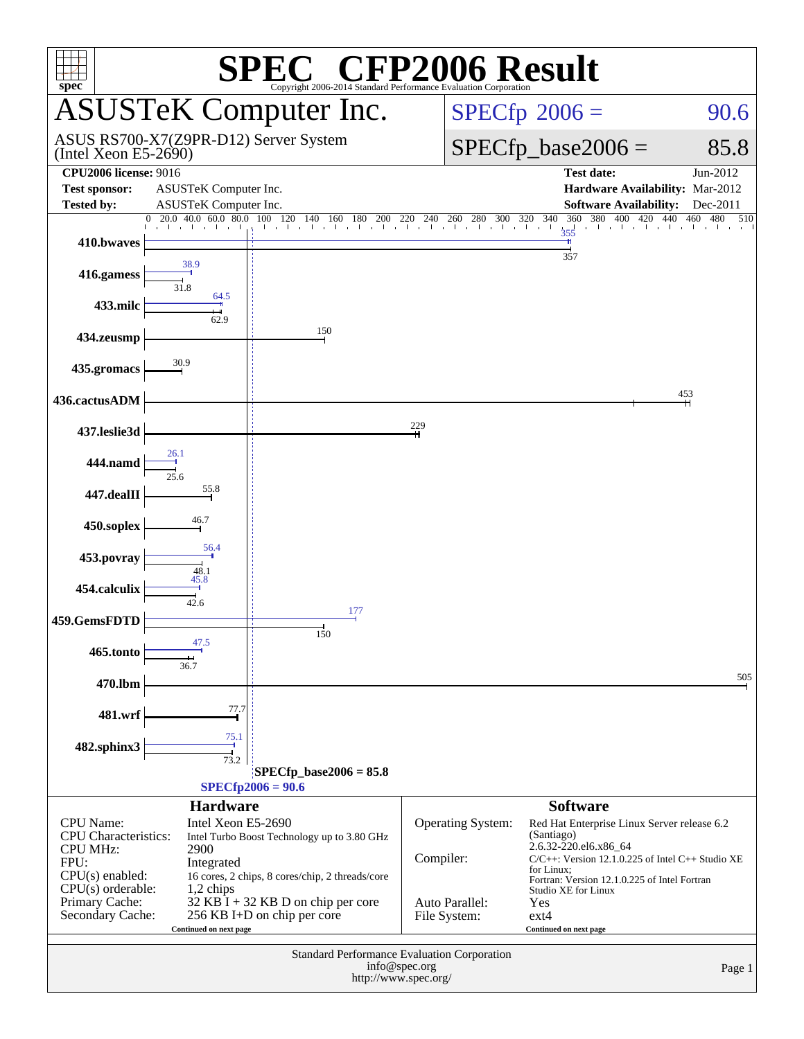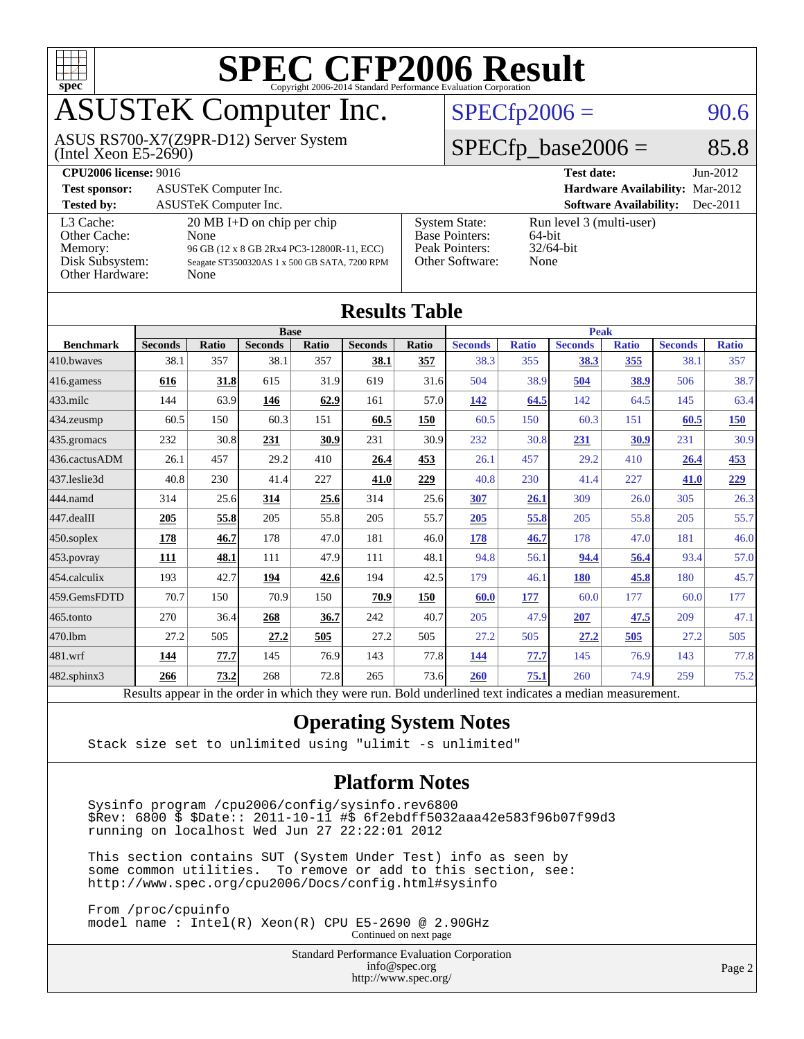

# ASUSTeK Computer Inc.

(Intel Xeon E5-2690) ASUS RS700-X7(Z9PR-D12) Server System  $SPECfp2006 = 90.6$  $SPECfp2006 = 90.6$ 

#### $SPECTp\_base2006 = 85.8$

| <b>CPU2006 license: 9016</b>                                               |                                                                                                                                                    | <b>Test date:</b><br>$Jun-2012$                                                    |                                                               |
|----------------------------------------------------------------------------|----------------------------------------------------------------------------------------------------------------------------------------------------|------------------------------------------------------------------------------------|---------------------------------------------------------------|
| <b>Test sponsor:</b>                                                       | ASUSTeK Computer Inc.                                                                                                                              |                                                                                    | <b>Hardware Availability: Mar-2012</b>                        |
| <b>Tested by:</b>                                                          | <b>ASUSTeK Computer Inc.</b>                                                                                                                       |                                                                                    | <b>Software Availability:</b><br>Dec-2011                     |
| L3 Cache:<br>Other Cache:<br>Memory:<br>Disk Subsystem:<br>Other Hardware: | $20 \text{ MB I+D}$ on chip per chip<br>None<br>96 GB (12 x 8 GB 2Rx4 PC3-12800R-11, ECC)<br>Seagate ST3500320AS 1 x 500 GB SATA, 7200 RPM<br>None | <b>System State:</b><br><b>Base Pointers:</b><br>Peak Pointers:<br>Other Software: | Run level 3 (multi-user)<br>$64$ -bit<br>$32/64$ -bit<br>None |

| <b>Results Table</b> |                                                                                                          |       |                |       |                |             |                |              |                |              |                |              |
|----------------------|----------------------------------------------------------------------------------------------------------|-------|----------------|-------|----------------|-------------|----------------|--------------|----------------|--------------|----------------|--------------|
|                      | <b>Base</b>                                                                                              |       |                |       |                | <b>Peak</b> |                |              |                |              |                |              |
| <b>Benchmark</b>     | <b>Seconds</b>                                                                                           | Ratio | <b>Seconds</b> | Ratio | <b>Seconds</b> | Ratio       | <b>Seconds</b> | <b>Ratio</b> | <b>Seconds</b> | <b>Ratio</b> | <b>Seconds</b> | <b>Ratio</b> |
| 410.bwayes           | 38.1                                                                                                     | 357   | 38.1           | 357   | 38.1           | 357         | 38.3           | 355          | 38.3           | 355          | 38.1           | 357          |
| 416.gamess           | 616                                                                                                      | 31.8  | 615            | 31.9  | 619            | 31.6        | 504            | 38.9         | 504            | 38.9         | 506            | 38.7         |
| $433$ .milc          | 144                                                                                                      | 63.9  | 146            | 62.9  | 161            | 57.0        | <u>142</u>     | 64.5         | 142            | 64.5         | 145            | 63.4         |
| 434.zeusmp           | 60.5                                                                                                     | 150   | 60.3           | 151   | 60.5           | 150         | 60.5           | 150          | 60.3           | 151          | 60.5           | <b>150</b>   |
| 435.gromacs          | 232                                                                                                      | 30.8  | 231            | 30.9  | 231            | 30.9        | 232            | 30.8         | 231            | 30.9         | 231            | 30.9         |
| 436.cactusADM        | 26.1                                                                                                     | 457   | 29.2           | 410   | 26.4           | 453         | 26.1           | 457          | 29.2           | 410          | 26.4           | 453          |
| 437.leslie3d         | 40.8                                                                                                     | 230   | 41.4           | 227   | 41.0           | 229         | 40.8           | 230          | 41.4           | 227          | 41.0           | 229          |
| 444.namd             | 314                                                                                                      | 25.6  | 314            | 25.6  | 314            | 25.6        | 307            | 26.1         | 309            | 26.0         | 305            | 26.3         |
| 447.dealII           | 205                                                                                                      | 55.8  | 205            | 55.8  | 205            | 55.7        | 205            | 55.8         | 205            | 55.8         | 205            | 55.7         |
| 450.soplex           | 178                                                                                                      | 46.7  | 178            | 47.0  | 181            | 46.0        | 178            | 46.7         | 178            | 47.0         | 181            | 46.0         |
| 453.povray           | 111                                                                                                      | 48.1  | 111            | 47.9  | 111            | 48.1        | 94.8           | 56.1         | 94.4           | 56.4         | 93.4           | 57.0         |
| 454.calculix         | 193                                                                                                      | 42.7  | 194            | 42.6  | 194            | 42.5        | 179            | 46.1         | <b>180</b>     | 45.8         | 180            | 45.7         |
| 459.GemsFDTD         | 70.7                                                                                                     | 150   | 70.9           | 150   | 70.9           | 150         | 60.0           | 177          | 60.0           | 177          | 60.0           | 177          |
| 465.tonto            | 270                                                                                                      | 36.4  | 268            | 36.7  | 242            | 40.7        | 205            | 47.9         | 207            | 47.5         | 209            | 47.1         |
| 470.1bm              | 27.2                                                                                                     | 505   | 27.2           | 505   | 27.2           | 505         | 27.2           | 505          | 27.2           | 505          | 27.2           | 505          |
| 481.wrf              | 144                                                                                                      | 77.7  | 145            | 76.9  | 143            | 77.8        | 144            | 77.7         | 145            | 76.9         | 143            | 77.8         |
| 482.sphinx3          | 266                                                                                                      | 73.2  | 268            | 72.8  | 265            | 73.6        | 260            | 75.1         | 260            | 74.9         | 259            | 75.2         |
|                      | Results appear in the order in which they were run. Bold underlined text indicates a median measurement. |       |                |       |                |             |                |              |                |              |                |              |

#### **[Operating System Notes](http://www.spec.org/auto/cpu2006/Docs/result-fields.html#OperatingSystemNotes)**

Stack size set to unlimited using "ulimit -s unlimited"

#### **[Platform Notes](http://www.spec.org/auto/cpu2006/Docs/result-fields.html#PlatformNotes)**

 Sysinfo program /cpu2006/config/sysinfo.rev6800 \$Rev: 6800 \$ \$Date:: 2011-10-11 #\$ 6f2ebdff5032aaa42e583f96b07f99d3 running on localhost Wed Jun 27 22:22:01 2012

 This section contains SUT (System Under Test) info as seen by some common utilities. To remove or add to this section, see: <http://www.spec.org/cpu2006/Docs/config.html#sysinfo>

 From /proc/cpuinfo model name : Intel(R) Xeon(R) CPU E5-2690 @ 2.90GHz Continued on next page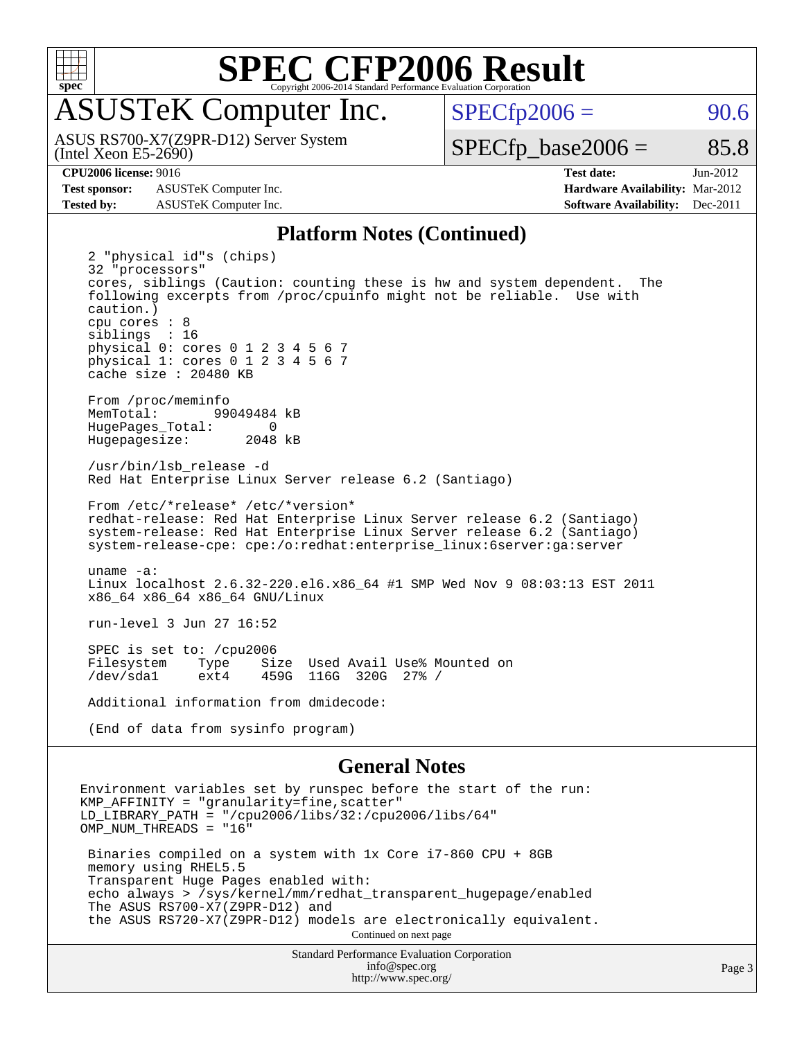

# ASUSTeK Computer Inc.

(Intel Xeon E5-2690) ASUS RS700-X7(Z9PR-D12) Server System  $SPECTp2006 = 90.6$ 

 $SPECTp\_base2006 = 85.8$ 

**[Test sponsor:](http://www.spec.org/auto/cpu2006/Docs/result-fields.html#Testsponsor)** ASUSTeK Computer Inc. **[Hardware Availability:](http://www.spec.org/auto/cpu2006/Docs/result-fields.html#HardwareAvailability)** Mar-2012

**[CPU2006 license:](http://www.spec.org/auto/cpu2006/Docs/result-fields.html#CPU2006license)** 9016 **[Test date:](http://www.spec.org/auto/cpu2006/Docs/result-fields.html#Testdate)** Jun-2012 **[Tested by:](http://www.spec.org/auto/cpu2006/Docs/result-fields.html#Testedby)** ASUSTeK Computer Inc. **[Software Availability:](http://www.spec.org/auto/cpu2006/Docs/result-fields.html#SoftwareAvailability)** Dec-2011

#### **[Platform Notes \(Continued\)](http://www.spec.org/auto/cpu2006/Docs/result-fields.html#PlatformNotes)**

 2 "physical id"s (chips) 32 "processors" cores, siblings (Caution: counting these is hw and system dependent. The following excerpts from /proc/cpuinfo might not be reliable. Use with caution.) cpu cores : 8 siblings : 16 physical 0: cores 0 1 2 3 4 5 6 7 physical 1: cores 0 1 2 3 4 5 6 7 cache size : 20480 KB From /proc/meminfo MemTotal: 99049484 kB<br>HugePages Total: 0 HugePages\_Total: 0<br>Hugepagesize: 2048 kB Hugepagesize: /usr/bin/lsb\_release -d Red Hat Enterprise Linux Server release 6.2 (Santiago) From /etc/\*release\* /etc/\*version\* redhat-release: Red Hat Enterprise Linux Server release 6.2 (Santiago) system-release: Red Hat Enterprise Linux Server release 6.2 (Santiago) system-release-cpe: cpe:/o:redhat:enterprise\_linux:6server:ga:server uname -a: Linux localhost 2.6.32-220.el6.x86\_64 #1 SMP Wed Nov 9 08:03:13 EST 2011 x86\_64 x86\_64 x86\_64 GNU/Linux run-level 3 Jun 27 16:52 SPEC is set to: /cpu2006<br>Filesystem Type Si Type Size Used Avail Use% Mounted on<br>ext4 459G 116G 320G 27% / /dev/sda1 ext4 459G 116G 320G 27% / Additional information from dmidecode: (End of data from sysinfo program)

#### **[General Notes](http://www.spec.org/auto/cpu2006/Docs/result-fields.html#GeneralNotes)**

Environment variables set by runspec before the start of the run: KMP\_AFFINITY = "granularity=fine,scatter"  $LD$ \_LIBRARY\_PATH = "/cpu2006/libs/32:/cpu2006/libs/64" OMP\_NUM\_THREADS = "16" Binaries compiled on a system with 1x Core i7-860 CPU + 8GB memory using RHEL5.5 Transparent Huge Pages enabled with: echo always > /sys/kernel/mm/redhat\_transparent\_hugepage/enabled The ASUS RS700-X7(Z9PR-D12) and the ASUS RS720-X7(Z9PR-D12) models are electronically equivalent. Continued on next page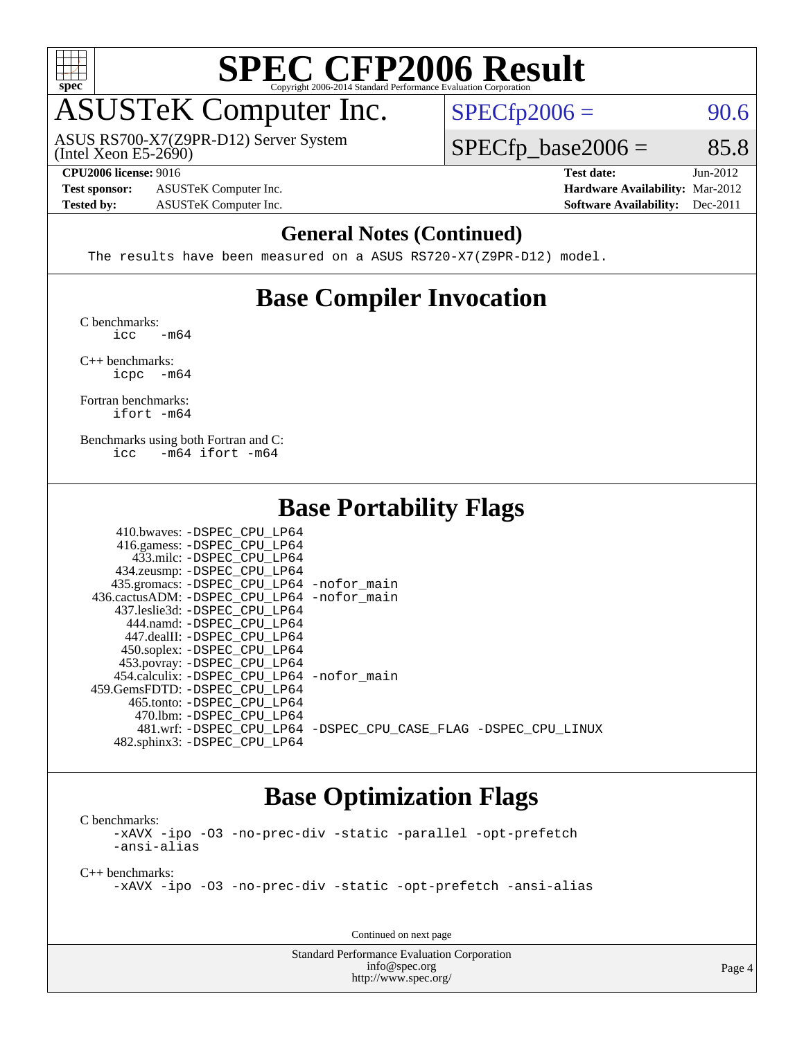

# ASUSTeK Computer Inc.

(Intel Xeon E5-2690) ASUS RS700-X7(Z9PR-D12) Server System  $SPECTp2006 = 90.6$ 

 $SPECTp\_base2006 = 85.8$ 

**[Test sponsor:](http://www.spec.org/auto/cpu2006/Docs/result-fields.html#Testsponsor)** ASUSTeK Computer Inc. **[Hardware Availability:](http://www.spec.org/auto/cpu2006/Docs/result-fields.html#HardwareAvailability)** Mar-2012

**[CPU2006 license:](http://www.spec.org/auto/cpu2006/Docs/result-fields.html#CPU2006license)** 9016 **[Test date:](http://www.spec.org/auto/cpu2006/Docs/result-fields.html#Testdate)** Jun-2012 **[Tested by:](http://www.spec.org/auto/cpu2006/Docs/result-fields.html#Testedby)** ASUSTeK Computer Inc. **[Software Availability:](http://www.spec.org/auto/cpu2006/Docs/result-fields.html#SoftwareAvailability)** Dec-2011

#### **[General Notes \(Continued\)](http://www.spec.org/auto/cpu2006/Docs/result-fields.html#GeneralNotes)**

The results have been measured on a ASUS RS720-X7(Z9PR-D12) model.

### **[Base Compiler Invocation](http://www.spec.org/auto/cpu2006/Docs/result-fields.html#BaseCompilerInvocation)**

[C benchmarks](http://www.spec.org/auto/cpu2006/Docs/result-fields.html#Cbenchmarks):  $\text{icc}$   $-\text{m64}$ 

[C++ benchmarks:](http://www.spec.org/auto/cpu2006/Docs/result-fields.html#CXXbenchmarks) [icpc -m64](http://www.spec.org/cpu2006/results/res2012q3/cpu2006-20120824-24327.flags.html#user_CXXbase_intel_icpc_64bit_bedb90c1146cab66620883ef4f41a67e)

[Fortran benchmarks](http://www.spec.org/auto/cpu2006/Docs/result-fields.html#Fortranbenchmarks): [ifort -m64](http://www.spec.org/cpu2006/results/res2012q3/cpu2006-20120824-24327.flags.html#user_FCbase_intel_ifort_64bit_ee9d0fb25645d0210d97eb0527dcc06e)

[Benchmarks using both Fortran and C](http://www.spec.org/auto/cpu2006/Docs/result-fields.html#BenchmarksusingbothFortranandC): [icc -m64](http://www.spec.org/cpu2006/results/res2012q3/cpu2006-20120824-24327.flags.html#user_CC_FCbase_intel_icc_64bit_0b7121f5ab7cfabee23d88897260401c) [ifort -m64](http://www.spec.org/cpu2006/results/res2012q3/cpu2006-20120824-24327.flags.html#user_CC_FCbase_intel_ifort_64bit_ee9d0fb25645d0210d97eb0527dcc06e)

#### **[Base Portability Flags](http://www.spec.org/auto/cpu2006/Docs/result-fields.html#BasePortabilityFlags)**

| 410.bwaves: -DSPEC CPU LP64                |                                                                |
|--------------------------------------------|----------------------------------------------------------------|
| 416.gamess: -DSPEC_CPU_LP64                |                                                                |
| 433.milc: -DSPEC CPU LP64                  |                                                                |
| 434.zeusmp: -DSPEC_CPU_LP64                |                                                                |
| 435.gromacs: -DSPEC_CPU_LP64 -nofor_main   |                                                                |
| 436.cactusADM: -DSPEC CPU LP64 -nofor main |                                                                |
| 437.leslie3d: -DSPEC CPU LP64              |                                                                |
| 444.namd: -DSPEC CPU LP64                  |                                                                |
| 447.dealII: -DSPEC_CPU LP64                |                                                                |
| 450.soplex: -DSPEC_CPU_LP64                |                                                                |
| 453.povray: -DSPEC_CPU_LP64                |                                                                |
| 454.calculix: -DSPEC CPU LP64 -nofor main  |                                                                |
| 459.GemsFDTD: -DSPEC CPU LP64              |                                                                |
| 465.tonto: -DSPEC CPU LP64                 |                                                                |
| 470.1bm: - DSPEC CPU LP64                  |                                                                |
|                                            | 481.wrf: -DSPEC CPU LP64 -DSPEC CPU CASE FLAG -DSPEC CPU LINUX |
| 482.sphinx3: -DSPEC CPU LP64               |                                                                |

#### **[Base Optimization Flags](http://www.spec.org/auto/cpu2006/Docs/result-fields.html#BaseOptimizationFlags)**

[C benchmarks](http://www.spec.org/auto/cpu2006/Docs/result-fields.html#Cbenchmarks): [-xAVX](http://www.spec.org/cpu2006/results/res2012q3/cpu2006-20120824-24327.flags.html#user_CCbase_f-xAVX) [-ipo](http://www.spec.org/cpu2006/results/res2012q3/cpu2006-20120824-24327.flags.html#user_CCbase_f-ipo) [-O3](http://www.spec.org/cpu2006/results/res2012q3/cpu2006-20120824-24327.flags.html#user_CCbase_f-O3) [-no-prec-div](http://www.spec.org/cpu2006/results/res2012q3/cpu2006-20120824-24327.flags.html#user_CCbase_f-no-prec-div) [-static](http://www.spec.org/cpu2006/results/res2012q3/cpu2006-20120824-24327.flags.html#user_CCbase_f-static) [-parallel](http://www.spec.org/cpu2006/results/res2012q3/cpu2006-20120824-24327.flags.html#user_CCbase_f-parallel) [-opt-prefetch](http://www.spec.org/cpu2006/results/res2012q3/cpu2006-20120824-24327.flags.html#user_CCbase_f-opt-prefetch) [-ansi-alias](http://www.spec.org/cpu2006/results/res2012q3/cpu2006-20120824-24327.flags.html#user_CCbase_f-ansi-alias)

[C++ benchmarks:](http://www.spec.org/auto/cpu2006/Docs/result-fields.html#CXXbenchmarks)

[-xAVX](http://www.spec.org/cpu2006/results/res2012q3/cpu2006-20120824-24327.flags.html#user_CXXbase_f-xAVX) [-ipo](http://www.spec.org/cpu2006/results/res2012q3/cpu2006-20120824-24327.flags.html#user_CXXbase_f-ipo) [-O3](http://www.spec.org/cpu2006/results/res2012q3/cpu2006-20120824-24327.flags.html#user_CXXbase_f-O3) [-no-prec-div](http://www.spec.org/cpu2006/results/res2012q3/cpu2006-20120824-24327.flags.html#user_CXXbase_f-no-prec-div) [-static](http://www.spec.org/cpu2006/results/res2012q3/cpu2006-20120824-24327.flags.html#user_CXXbase_f-static) [-opt-prefetch](http://www.spec.org/cpu2006/results/res2012q3/cpu2006-20120824-24327.flags.html#user_CXXbase_f-opt-prefetch) [-ansi-alias](http://www.spec.org/cpu2006/results/res2012q3/cpu2006-20120824-24327.flags.html#user_CXXbase_f-ansi-alias)

Continued on next page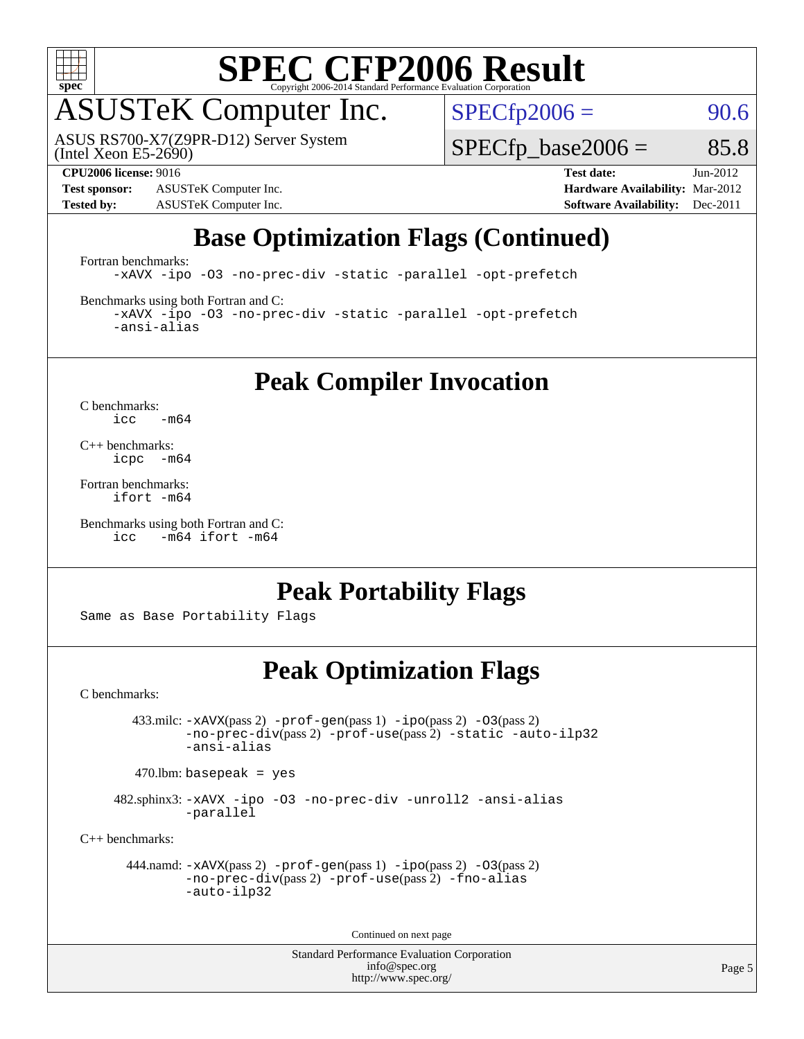

### ASUSTeK Computer Inc.

(Intel Xeon E5-2690) ASUS RS700-X7(Z9PR-D12) Server System  $SPECfp2006 = 90.6$  $SPECfp2006 = 90.6$ 

**[Test sponsor:](http://www.spec.org/auto/cpu2006/Docs/result-fields.html#Testsponsor)** ASUSTeK Computer Inc. **[Hardware Availability:](http://www.spec.org/auto/cpu2006/Docs/result-fields.html#HardwareAvailability)** Mar-2012 **[Tested by:](http://www.spec.org/auto/cpu2006/Docs/result-fields.html#Testedby)** ASUSTeK Computer Inc. **[Software Availability:](http://www.spec.org/auto/cpu2006/Docs/result-fields.html#SoftwareAvailability)** Dec-2011

 $SPECTp\_base2006 = 85.8$ 

**[CPU2006 license:](http://www.spec.org/auto/cpu2006/Docs/result-fields.html#CPU2006license)** 9016 **[Test date:](http://www.spec.org/auto/cpu2006/Docs/result-fields.html#Testdate)** Jun-2012

### **[Base Optimization Flags \(Continued\)](http://www.spec.org/auto/cpu2006/Docs/result-fields.html#BaseOptimizationFlags)**

[Fortran benchmarks](http://www.spec.org/auto/cpu2006/Docs/result-fields.html#Fortranbenchmarks):

[-xAVX](http://www.spec.org/cpu2006/results/res2012q3/cpu2006-20120824-24327.flags.html#user_FCbase_f-xAVX) [-ipo](http://www.spec.org/cpu2006/results/res2012q3/cpu2006-20120824-24327.flags.html#user_FCbase_f-ipo) [-O3](http://www.spec.org/cpu2006/results/res2012q3/cpu2006-20120824-24327.flags.html#user_FCbase_f-O3) [-no-prec-div](http://www.spec.org/cpu2006/results/res2012q3/cpu2006-20120824-24327.flags.html#user_FCbase_f-no-prec-div) [-static](http://www.spec.org/cpu2006/results/res2012q3/cpu2006-20120824-24327.flags.html#user_FCbase_f-static) [-parallel](http://www.spec.org/cpu2006/results/res2012q3/cpu2006-20120824-24327.flags.html#user_FCbase_f-parallel) [-opt-prefetch](http://www.spec.org/cpu2006/results/res2012q3/cpu2006-20120824-24327.flags.html#user_FCbase_f-opt-prefetch)

[Benchmarks using both Fortran and C](http://www.spec.org/auto/cpu2006/Docs/result-fields.html#BenchmarksusingbothFortranandC):

[-xAVX](http://www.spec.org/cpu2006/results/res2012q3/cpu2006-20120824-24327.flags.html#user_CC_FCbase_f-xAVX) [-ipo](http://www.spec.org/cpu2006/results/res2012q3/cpu2006-20120824-24327.flags.html#user_CC_FCbase_f-ipo) [-O3](http://www.spec.org/cpu2006/results/res2012q3/cpu2006-20120824-24327.flags.html#user_CC_FCbase_f-O3) [-no-prec-div](http://www.spec.org/cpu2006/results/res2012q3/cpu2006-20120824-24327.flags.html#user_CC_FCbase_f-no-prec-div) [-static](http://www.spec.org/cpu2006/results/res2012q3/cpu2006-20120824-24327.flags.html#user_CC_FCbase_f-static) [-parallel](http://www.spec.org/cpu2006/results/res2012q3/cpu2006-20120824-24327.flags.html#user_CC_FCbase_f-parallel) [-opt-prefetch](http://www.spec.org/cpu2006/results/res2012q3/cpu2006-20120824-24327.flags.html#user_CC_FCbase_f-opt-prefetch) [-ansi-alias](http://www.spec.org/cpu2006/results/res2012q3/cpu2006-20120824-24327.flags.html#user_CC_FCbase_f-ansi-alias)

**[Peak Compiler Invocation](http://www.spec.org/auto/cpu2006/Docs/result-fields.html#PeakCompilerInvocation)**

[C benchmarks](http://www.spec.org/auto/cpu2006/Docs/result-fields.html#Cbenchmarks):  $\text{icc}$  -m64

[C++ benchmarks:](http://www.spec.org/auto/cpu2006/Docs/result-fields.html#CXXbenchmarks) [icpc -m64](http://www.spec.org/cpu2006/results/res2012q3/cpu2006-20120824-24327.flags.html#user_CXXpeak_intel_icpc_64bit_bedb90c1146cab66620883ef4f41a67e)

[Fortran benchmarks](http://www.spec.org/auto/cpu2006/Docs/result-fields.html#Fortranbenchmarks): [ifort -m64](http://www.spec.org/cpu2006/results/res2012q3/cpu2006-20120824-24327.flags.html#user_FCpeak_intel_ifort_64bit_ee9d0fb25645d0210d97eb0527dcc06e)

[Benchmarks using both Fortran and C](http://www.spec.org/auto/cpu2006/Docs/result-fields.html#BenchmarksusingbothFortranandC): [icc -m64](http://www.spec.org/cpu2006/results/res2012q3/cpu2006-20120824-24327.flags.html#user_CC_FCpeak_intel_icc_64bit_0b7121f5ab7cfabee23d88897260401c) [ifort -m64](http://www.spec.org/cpu2006/results/res2012q3/cpu2006-20120824-24327.flags.html#user_CC_FCpeak_intel_ifort_64bit_ee9d0fb25645d0210d97eb0527dcc06e)

#### **[Peak Portability Flags](http://www.spec.org/auto/cpu2006/Docs/result-fields.html#PeakPortabilityFlags)**

Same as Base Portability Flags

### **[Peak Optimization Flags](http://www.spec.org/auto/cpu2006/Docs/result-fields.html#PeakOptimizationFlags)**

[C benchmarks](http://www.spec.org/auto/cpu2006/Docs/result-fields.html#Cbenchmarks):

 433.milc: [-xAVX](http://www.spec.org/cpu2006/results/res2012q3/cpu2006-20120824-24327.flags.html#user_peakPASS2_CFLAGSPASS2_LDFLAGS433_milc_f-xAVX)(pass 2) [-prof-gen](http://www.spec.org/cpu2006/results/res2012q3/cpu2006-20120824-24327.flags.html#user_peakPASS1_CFLAGSPASS1_LDFLAGS433_milc_prof_gen_e43856698f6ca7b7e442dfd80e94a8fc)(pass 1) [-ipo](http://www.spec.org/cpu2006/results/res2012q3/cpu2006-20120824-24327.flags.html#user_peakPASS2_CFLAGSPASS2_LDFLAGS433_milc_f-ipo)(pass 2) [-O3](http://www.spec.org/cpu2006/results/res2012q3/cpu2006-20120824-24327.flags.html#user_peakPASS2_CFLAGSPASS2_LDFLAGS433_milc_f-O3)(pass 2) [-no-prec-div](http://www.spec.org/cpu2006/results/res2012q3/cpu2006-20120824-24327.flags.html#user_peakPASS2_CFLAGSPASS2_LDFLAGS433_milc_f-no-prec-div)(pass 2) [-prof-use](http://www.spec.org/cpu2006/results/res2012q3/cpu2006-20120824-24327.flags.html#user_peakPASS2_CFLAGSPASS2_LDFLAGS433_milc_prof_use_bccf7792157ff70d64e32fe3e1250b55)(pass 2) [-static](http://www.spec.org/cpu2006/results/res2012q3/cpu2006-20120824-24327.flags.html#user_peakOPTIMIZE433_milc_f-static) [-auto-ilp32](http://www.spec.org/cpu2006/results/res2012q3/cpu2006-20120824-24327.flags.html#user_peakCOPTIMIZE433_milc_f-auto-ilp32) [-ansi-alias](http://www.spec.org/cpu2006/results/res2012q3/cpu2006-20120824-24327.flags.html#user_peakCOPTIMIZE433_milc_f-ansi-alias)

 $470.$ lbm: basepeak = yes

 482.sphinx3: [-xAVX](http://www.spec.org/cpu2006/results/res2012q3/cpu2006-20120824-24327.flags.html#user_peakOPTIMIZE482_sphinx3_f-xAVX) [-ipo](http://www.spec.org/cpu2006/results/res2012q3/cpu2006-20120824-24327.flags.html#user_peakOPTIMIZE482_sphinx3_f-ipo) [-O3](http://www.spec.org/cpu2006/results/res2012q3/cpu2006-20120824-24327.flags.html#user_peakOPTIMIZE482_sphinx3_f-O3) [-no-prec-div](http://www.spec.org/cpu2006/results/res2012q3/cpu2006-20120824-24327.flags.html#user_peakOPTIMIZE482_sphinx3_f-no-prec-div) [-unroll2](http://www.spec.org/cpu2006/results/res2012q3/cpu2006-20120824-24327.flags.html#user_peakCOPTIMIZE482_sphinx3_f-unroll_784dae83bebfb236979b41d2422d7ec2) [-ansi-alias](http://www.spec.org/cpu2006/results/res2012q3/cpu2006-20120824-24327.flags.html#user_peakCOPTIMIZE482_sphinx3_f-ansi-alias) [-parallel](http://www.spec.org/cpu2006/results/res2012q3/cpu2006-20120824-24327.flags.html#user_peakCOPTIMIZE482_sphinx3_f-parallel)

[C++ benchmarks:](http://www.spec.org/auto/cpu2006/Docs/result-fields.html#CXXbenchmarks)

```
 444.namd: -xAVX(pass 2) -prof-gen(pass 1) -ipo(pass 2) -O3(pass 2)
         -no-prec-div(pass 2) -prof-use(pass 2) -fno-alias
         -auto-ilp32
```
Continued on next page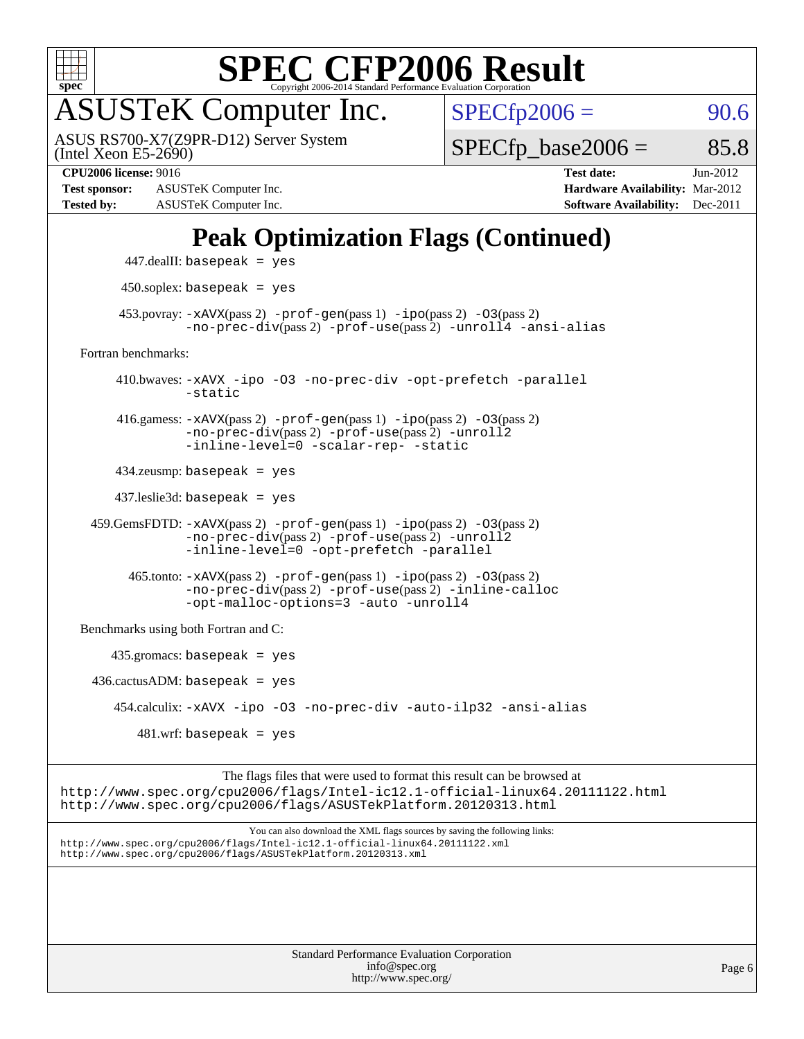

# ASUSTeK Computer Inc.

(Intel Xeon E5-2690) ASUS RS700-X7(Z9PR-D12) Server System  $SPECTp2006 = 90.6$ 

 $SPECTp\_base2006 = 85.8$ 

**[Test sponsor:](http://www.spec.org/auto/cpu2006/Docs/result-fields.html#Testsponsor)** ASUSTeK Computer Inc. **[Hardware Availability:](http://www.spec.org/auto/cpu2006/Docs/result-fields.html#HardwareAvailability)** Mar-2012 **[Tested by:](http://www.spec.org/auto/cpu2006/Docs/result-fields.html#Testedby)** ASUSTeK Computer Inc. **[Software Availability:](http://www.spec.org/auto/cpu2006/Docs/result-fields.html#SoftwareAvailability)** Dec-2011

**[CPU2006 license:](http://www.spec.org/auto/cpu2006/Docs/result-fields.html#CPU2006license)** 9016 **[Test date:](http://www.spec.org/auto/cpu2006/Docs/result-fields.html#Testdate)** Jun-2012

### **[Peak Optimization Flags \(Continued\)](http://www.spec.org/auto/cpu2006/Docs/result-fields.html#PeakOptimizationFlags)**

```
 447.dealII: basepeak = yes
          450.soplex: basepeak = yes
        453.povray: -xAVX(pass 2) -prof-gen(pass 1) -ipo(pass 2) -03(pass 2)
                  -no-prec-div(pass 2) -prof-use(pass 2) -unroll4 -ansi-alias
   Fortran benchmarks: 
         410.bwaves: -xAVX -ipo -O3 -no-prec-div -opt-prefetch -parallel
                  -static
         416.gamess: -xAVX(pass 2) -prof-gen(pass 1) -ipo(pass 2) -O3(pass 2)
                  -no-prec-div(pass 2) -prof-use(pass 2) -unroll2
                  -inline-level=0 -scalar-rep- -static
         434.zeusmp: basepeak = yes
         437.leslie3d: basepeak = yes
     459.GemsFDTD: -xAVX(pass 2) -prof-gen(pass 1) -ipo(pass 2) -O3(pass 2)
                  -no-prec-div(pass 2) -prof-use(pass 2) -unroll2
                  -inline-level=0 -opt-prefetch -parallel
          465.tonto: -xAVX(pass 2) -prof-gen(pass 1) -po(pass 2) -03(pass 2)
                  -no-prec-div(pass 2) -prof-use(pass 2) -inline-calloc
                  -opt-malloc-options=3-auto-unroll4
   Benchmarks using both Fortran and C: 
        435.gromacs: basepeak = yes
    436.cactusADM:basepeak = yes 454.calculix: -xAVX -ipo -O3 -no-prec-div -auto-ilp32 -ansi-alias
           481 \text{.m}: basepeak = yes
                        The flags files that were used to format this result can be browsed at
http://www.spec.org/cpu2006/flags/Intel-ic12.1-official-linux64.20111122.html
```
<http://www.spec.org/cpu2006/flags/ASUSTekPlatform.20120313.html>

You can also download the XML flags sources by saving the following links: <http://www.spec.org/cpu2006/flags/Intel-ic12.1-official-linux64.20111122.xml> <http://www.spec.org/cpu2006/flags/ASUSTekPlatform.20120313.xml>